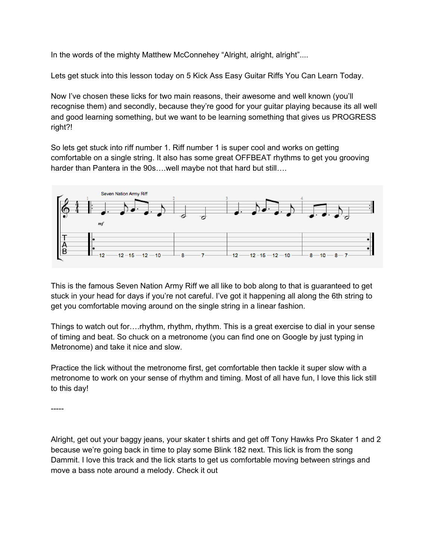In the words of the mighty Matthew McConnehey "Alright, alright, alright"....

Lets get stuck into this lesson today on 5 Kick Ass Easy Guitar Riffs You Can Learn Today.

Now I've chosen these licks for two main reasons, their awesome and well known (you'll recognise them) and secondly, because they're good for your guitar playing because its all well and good learning something, but we want to be learning something that gives us PROGRESS right?!

So lets get stuck into riff number 1. Riff number 1 is super cool and works on getting comfortable on a single string. It also has some great OFFBEAT rhythms to get you grooving harder than Pantera in the 90s....well maybe not that hard but still....



This is the famous Seven Nation Army Riff we all like to bob along to that is guaranteed to get stuck in your head for days if you're not careful. I've got it happening all along the 6th string to get you comfortable moving around on the single string in a linear fashion.

Things to watch out for….rhythm, rhythm, rhythm. This is a great exercise to dial in your sense of timing and beat. So chuck on a metronome (you can find one on Google by just typing in Metronome) and take it nice and slow.

Practice the lick without the metronome first, get comfortable then tackle it super slow with a metronome to work on your sense of rhythm and timing. Most of all have fun, I love this lick still to this day!

-----

Alright, get out your baggy jeans, your skater t shirts and get off Tony Hawks Pro Skater 1 and 2 because we're going back in time to play some Blink 182 next. This lick is from the song Dammit. I love this track and the lick starts to get us comfortable moving between strings and move a bass note around a melody. Check it out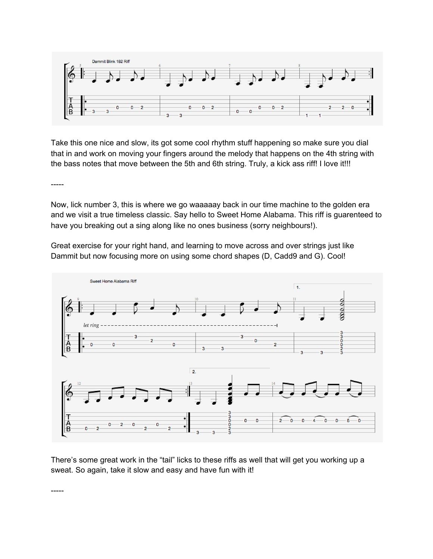

Take this one nice and slow, its got some cool rhythm stuff happening so make sure you dial that in and work on moving your fingers around the melody that happens on the 4th string with the bass notes that move between the 5th and 6th string. Truly, a kick ass riff! I love it!!!

-----

Now, lick number 3, this is where we go waaaaay back in our time machine to the golden era and we visit a true timeless classic. Say hello to Sweet Home Alabama. This riff is guarenteed to have you breaking out a sing along like no ones business (sorry neighbours!).

Great exercise for your right hand, and learning to move across and over strings just like Dammit but now focusing more on using some chord shapes (D, Cadd9 and G). Cool!



There's some great work in the "tail" licks to these riffs as well that will get you working up a sweat. So again, take it slow and easy and have fun with it!

-----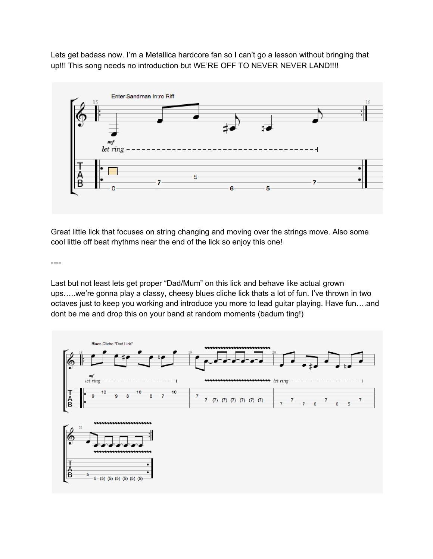Lets get badass now. I'm a Metallica hardcore fan so I can't go a lesson without bringing that up!!! This song needs no introduction but WE'RE OFF TO NEVER NEVER LAND!!!!



Great little lick that focuses on string changing and moving over the strings move. Also some cool little off beat rhythms near the end of the lick so enjoy this one!

----

Last but not least lets get proper "Dad/Mum" on this lick and behave like actual grown ups…..we're gonna play a classy, cheesy blues cliche lick thats a lot of fun. I've thrown in two octaves just to keep you working and introduce you more to lead guitar playing. Have fun….and dont be me and drop this on your band at random moments (badum ting!)